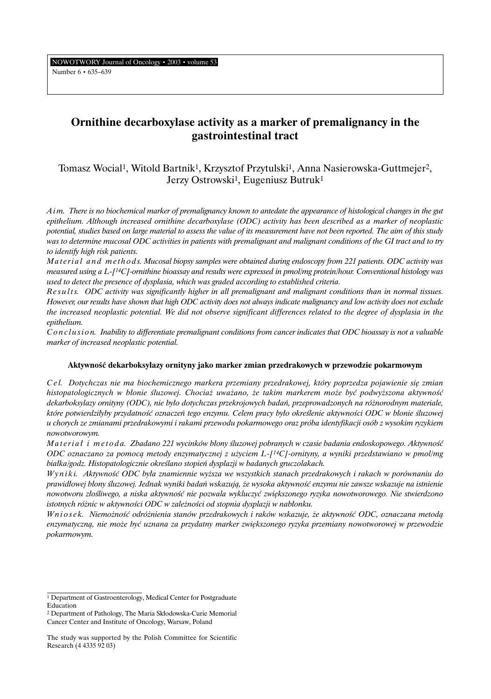NOWOTWORY Journal of Oncology • 2003 • volume 53 Number 6 • 635–639

# **Ornithine decarboxylase activity as a marker of premalignancy in the gastrointestinal tract**

Tomasz Wocial1, Witold Bartnik1, Krzysztof Przytulski1, Anna Nasierowska-Guttmejer2, Jerzy Ostrowski<sup>1</sup>, Eugeniusz Butruk<sup>1</sup>

*A i m. There is no biochemical marker of premalignancy known to antedate the appearance of histological changes in the gut epithelium. Although increased ornithine decarboxylase (ODC) activity has been described as a marker of neoplastic potential, studies based on large material to assess the value of its measurement have not been reported. The aim of this study was to determine mucosal ODC activities in patients with premalignant and malignant conditions of the GI tract and to try to identify high risk patients.*

*Material and methods. Mucosal biopsy samples were obtained during endoscopy from 221 patients. ODC activity was measured using a L-[14C]-ornithine bioassay and results were expressed in pmol/mg protein/hour. Conventional histology was used to detect the presence of dysplasia, which was graded according to established criteria.*

*R e s u l t s. ODC activity was significantly higher in all premalignant and malignant conditions than in normal tissues. However, our results have shown that high ODC activity does not always indicate malignancy and low activity does not exclude the increased neoplastic potential. We did not observe significant differences related to the degree of dysplasia in the epithelium.*

*C o n c l u s i o n. Inability to differentiate premalignant conditions from cancer indicates that ODC bioassay is not a valuable marker of increased neoplastic potential.*

# **AktywnoÊç dekarboksylazy ornityny jako marker zmian przedrakowych w przewodzie pokarmowym**

*C e l. Dotychczas nie ma biochemicznego markera przemiany przedrakowej, który poprzedza pojawienie si´ zmian histopatologicznych w błonie śluzowej. Chociaż uważano, że takim markerem może być podwyższona aktywność dekarboksylazy ornityny (ODC), nie by∏o dotychczas przekrojowych badaƒ, przeprowadzonych na ró˝norodnym materiale, które potwierdzi∏yby przydatnoÊç oznaczeƒ tego enzymu. Celem pracy by∏o okreÊlenie aktywnoÊci ODC w b∏onie Êluzowej u chorych ze zmianami przedrakowymi i rakami przewodu pokarmowego oraz próba identyfikacji osób z wysokim ryzykiem nowotworowym.*

*Materiał i metoda. Zbadano 221 wycinków błony śluzowej pobranych w czasie badania endoskopowego. Aktywność ODC oznaczano za pomocà metody enzymatycznej z u˝yciem L-[14C]-ornityny, a wyniki przedstawiano w pmol/mg bia∏ka/godz. Histopatologicznie okreÊlano stopieƒ dysplazji w badanych gruczolakach.*

*W y n i k i. AktywnoÊç ODC by∏a znamiennie wy˝sza we wszystkich stanach przedrakowych i rakach w porównaniu do prawid∏owej b∏ony Êluzowej. Jednak wyniki badaƒ wskazujà, ˝e wysoka aktywnoÊç enzymu nie zawsze wskazuje na istnienie nowotworu z∏oÊliwego, a niska aktywnoÊç nie pozwala wykluczyç zwi´kszonego ryzyka nowotworowego. Nie stwierdzono istotnych różnic w aktywności ODC w zależności od stopnia dysplazji w nabłonku.* 

*W n i o s e k. Niemo˝noÊç odró˝nienia stanów przedrakowych i raków wskazuje, ˝e aktywnoÊç ODC, oznaczana metodà enzymatyczną, nie może być uznana za przydatny marker zwiększonego ryzyka przemiany nowotworowej w przewodzie pokarmowym.*

<sup>1</sup> Department of Gastroenterology, Medical Center for Postgraduate Education

<sup>&</sup>lt;sup>2</sup> Department of Pathology, The Maria Skłodowska-Curie Memorial Cancer Center and Institute of Oncology, Warsaw, Poland

The study was supported by the Polish Committee for Scientific Research (4 4335 92 03)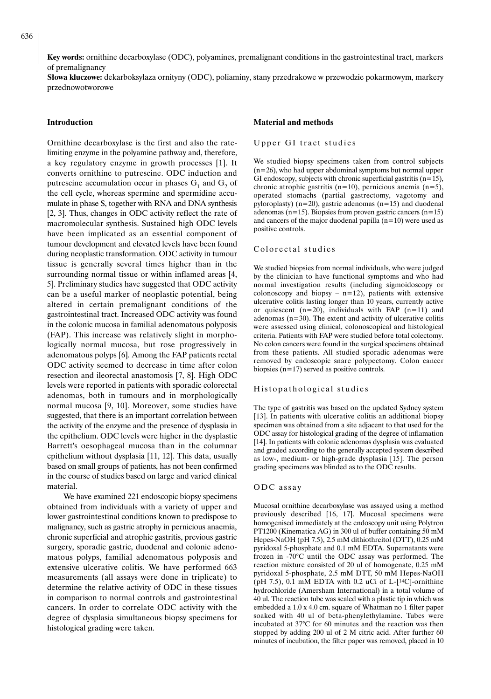**Key words:** ornithine decarboxylase (ODC), polyamines, premalignant conditions in the gastrointestinal tract, markers of premalignancy

**S∏owa kluczowe:** dekarboksylaza ornityny (ODC), poliaminy, stany przedrakowe w przewodzie pokarmowym, markery przednowotworowe

#### **Introduction**

Ornithine decarboxylase is the first and also the ratelimiting enzyme in the polyamine pathway and, therefore, a key regulatory enzyme in growth processes [1]. It converts ornithine to putrescine. ODC induction and putrescine accumulation occur in phases  $G_1$  and  $G_2$  of the cell cycle, whereas spermine and spermidine accumulate in phase S, together with RNA and DNA synthesis [2, 3]. Thus, changes in ODC activity reflect the rate of macromolecular synthesis. Sustained high ODC levels have been implicated as an essential component of tumour development and elevated levels have been found during neoplastic transformation. ODC activity in tumour tissue is generally several times higher than in the surrounding normal tissue or within inflamed areas [4, 5]. Preliminary studies have suggested that ODC activity can be a useful marker of neoplastic potential, being altered in certain premalignant conditions of the gastrointestinal tract. Increased ODC activity was found in the colonic mucosa in familial adenomatous polyposis (FAP). This increase was relatively slight in morphologically normal mucosa, but rose progressively in adenomatous polyps [6]. Among the FAP patients rectal ODC activity seemed to decrease in time after colon resection and ileorectal anastomosis [7, 8]. High ODC levels were reported in patients with sporadic colorectal adenomas, both in tumours and in morphologically normal mucosa [9, 10]. Moreover, some studies have suggested, that there is an important correlation between the activity of the enzyme and the presence of dysplasia in the epithelium. ODC levels were higher in the dysplastic Barrett's oesophageal mucosa than in the columnar epithelium without dysplasia [11, 12]. This data, usually based on small groups of patients, has not been confirmed in the course of studies based on large and varied clinical material.

We have examined 221 endoscopic biopsy specimens obtained from individuals with a variety of upper and lower gastrointestinal conditions known to predispose to malignancy, such as gastric atrophy in pernicious anaemia, chronic superficial and atrophic gastritis, previous gastric surgery, sporadic gastric, duodenal and colonic adenomatous polyps, familial adenomatous polyposis and extensive ulcerative colitis. We have performed 663 measurements (all assays were done in triplicate) to determine the relative activity of ODC in these tissues in comparison to normal controls and gastrointestinal cancers. In order to correlate ODC activity with the degree of dysplasia simultaneous biopsy specimens for histological grading were taken.

#### **Material and methods**

#### Upper GI tract studies

We studied biopsy specimens taken from control subjects  $(n=26)$ , who had upper abdominal symptoms but normal upper GI endoscopy, subjects with chronic superficial gastritis  $(n=15)$ , chronic atrophic gastritis (n=10), pernicious anemia (n=5), operated stomachs (partial gastrectomy, vagotomy and pyloroplasty) ( $n=20$ ), gastric adenomas ( $n=15$ ) and duodenal adenomas (n=15). Biopsies from proven gastric cancers (n=15) and cancers of the major duodenal papilla  $(n=10)$  were used as positive controls.

#### Colorectal studies

We studied biopsies from normal individuals, who were judged by the clinician to have functional symptoms and who had normal investigation results (including sigmoidoscopy or colonoscopy and biopsy  $- n=12$ ), patients with extensive ulcerative colitis lasting longer than 10 years, currently active or quiescent  $(n=20)$ , individuals with FAP  $(n=11)$  and adenomas  $(n=30)$ . The extent and activity of ulcerative colitis were assessed using clinical, colonoscopical and histological criteria. Patients with FAP were studied before total colectomy. No colon cancers were found in the surgical specimens obtained from these patients. All studied sporadic adenomas were removed by endoscopic snare polypectomy. Colon cancer biopsies (n=17) served as positive controls.

#### Histopathological studies

The type of gastritis was based on the updated Sydney system [13]. In patients with ulcerative colitis an additional biopsy specimen was obtained from a site adjacent to that used for the ODC assay for histological grading of the degree of inflamation [14]. In patients with colonic adenomas dysplasia was evaluated and graded according to the generally accepted system described as low-, medium- or high-grade dysplasia [15]. The person grading specimens was blinded as to the ODC results.

#### ODC assay

Mucosal ornithine decarboxylase was assayed using a method previously described [16, 17]. Mucosal specimens were homogenised immediately at the endoscopy unit using Polytron PT1200 (Kinematica AG) in 300 ul of buffer containing 50 mM Hepes-NaOH (pH 7.5), 2.5 mM dithiothreitol (DTT), 0.25 mM pyridoxal 5-phosphate and 0.1 mM EDTA. Supernatants were frozen in -70°C until the ODC assay was performed. The reaction mixture consisted of 20 ul of homogenate, 0.25 mM pyridoxal 5-phosphate, 2.5 mM DTT, 50 mM Hepes-NaOH (pH 7.5), 0.1 mM EDTA with 0.2 uCi of L- $[$ <sup>14</sup>C $]$ -ornithine hydrochloride (Amersham International) in a total volume of 40 ul. The reaction tube was sealed with a plastic tip in which was embedded a 1.0 x 4.0 cm. square of Whatman no 1 filter paper soaked with 40 ul of beta-phenylethylamine. Tubes were incubated at 37°C for 60 minutes and the reaction was then stopped by adding 200 ul of 2 M citric acid. After further 60 minutes of incubation, the filter paper was removed, placed in 10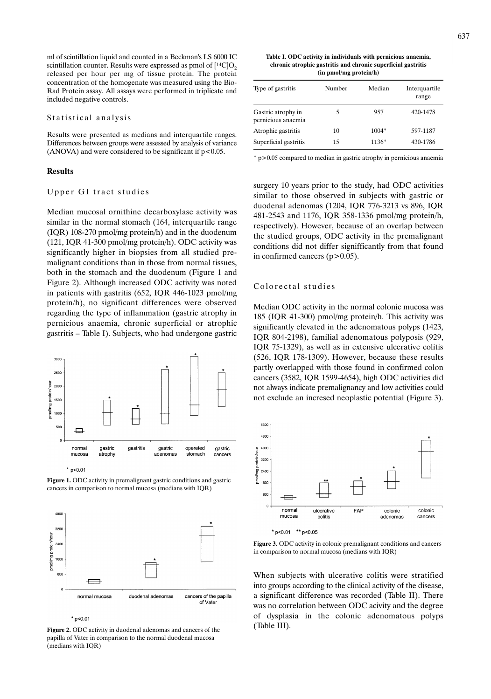ml of scintillation liquid and counted in a Beckman's LS 6000 IC scintillation counter. Results were expressed as pmol of  $[14C]O<sub>2</sub>$ released per hour per mg of tissue protein. The protein concentration of the homogenate was measured using the Bio-Rad Protein assay. All assays were performed in triplicate and included negative controls.

#### Statistical analysis

Results were presented as medians and interquartile ranges. Differences between groups were assessed by analysis of variance (ANOVA) and were considered to be significant if  $p < 0.05$ .

#### **Results**

### Upper GI tract studies

Median mucosal ornithine decarboxylase activity was similar in the normal stomach (164, interquartile range (IQR) 108-270 pmol/mg protein/h) and in the duodenum (121, IQR 41-300 pmol/mg protein/h). ODC activity was significantly higher in biopsies from all studied premalignant conditions than in those from normal tissues, both in the stomach and the duodenum (Figure 1 and Figure 2). Although increased ODC activity was noted in patients with gastritis (652, IQR 446-1023 pmol/mg protein/h), no significant differences were observed regarding the type of inflammation (gastric atrophy in pernicious anaemia, chronic superficial or atrophic gastritis – Table I). Subjects, who had undergone gastric



**Figure 1.** ODC activity in premalignant gastric conditions and gastric cancers in comparison to normal mucosa (medians with IQR)



 $*$  p<0.01

**Figure 2.** ODC activity in duodenal adenomas and cancers of the papilla of Vater in comparison to the normal duodenal mucosa (medians with IQR)

**Table I. ODC activity in individuals with pernicious anaemia, chronic atrophic gastritis and chronic superficial gastritis (in pmol/mg protein/h)**

| Type of gastritis                        | Number | Median  | Interquartile<br>range |
|------------------------------------------|--------|---------|------------------------|
| Gastric atrophy in<br>pernicious anaemia | 5      | 957     | 420-1478               |
| Atrophic gastritis                       | 10     | $1004*$ | 597-1187               |
| Superficial gastritis                    | 15     | $1136*$ | 430-1786               |

\* p>0.05 compared to median in gastric atrophy in pernicious anaemia

surgery 10 years prior to the study, had ODC activities similar to those observed in subjects with gastric or duodenal adenomas (1204, IQR 776-3213 vs 896, IQR 481-2543 and 1176, IQR 358-1336 pmol/mg protein/h, respectively). However, because of an overlap between the studied groups, ODC activity in the premalignant conditions did not differ signifficantly from that found in confirmed cancers  $(p>0.05)$ .

## Colorectal studies

Median ODC activity in the normal colonic mucosa was 185 (IQR 41-300) pmol/mg protein/h. This activity was significantly elevated in the adenomatous polyps (1423, IQR 804-2198), familial adenomatous polyposis (929, IQR 75-1329), as well as in extensive ulcerative colitis (526, IQR 178-1309). However, because these results partly overlapped with those found in confirmed colon cancers (3582, IQR 1599-4654), high ODC activities did not always indicate premalignancy and low activities could not exclude an incresed neoplastic potential (Figure 3).



**Figure 3.** ODC activity in colonic premalignant conditions and cancers in comparison to normal mucosa (medians with IQR)

When subjects with ulcerative colitis were stratified into groups according to the clinical activity of the disease, a significant difference was recorded (Table II). There was no correlation between ODC acivity and the degree of dysplasia in the colonic adenomatous polyps (Table III).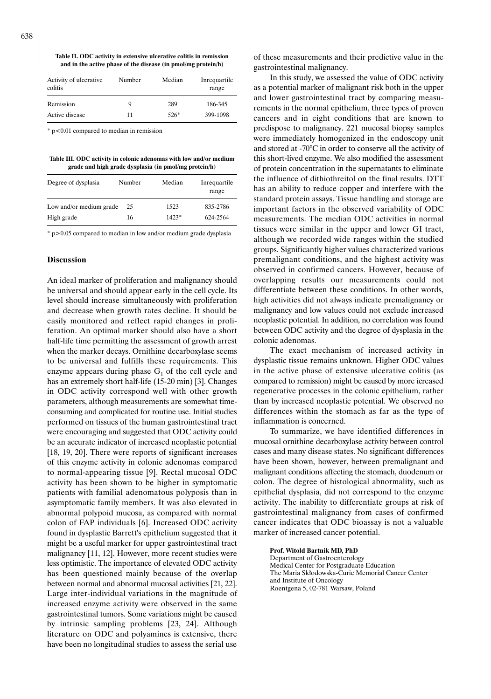**Table II. ODC activity in extensive ulcerative colitis in remission and in the active phase of the disease (in pmol/mg protein/h)**

| Activity of ulcerative<br>colitis | Number | Median | Inrequartile<br>range |
|-----------------------------------|--------|--------|-----------------------|
| Remission                         | 9      | 289    | 186-345               |
| Active disease                    | 11     | $526*$ | 399-1098              |

\* p<0.01 compared to median in remission

**Table III. ODC activity in colonic adenomas with low and/or medium grade and high grade dysplasia (in pmol/mg protein/h)**

| Degree of dysplasia     | Number | Median  | Inrequartile<br>range |
|-------------------------|--------|---------|-----------------------|
| Low and/or medium grade | 25     | 1523    | 835-2786              |
| High grade              | 16     | $1423*$ | 624-2564              |

\* p>0.05 compared to median in low and/or medium grade dysplasia

## **Discussion**

An ideal marker of proliferation and malignancy should be universal and should appear early in the cell cycle. Its level should increase simultaneously with proliferation and decrease when growth rates decline. It should be easily monitored and reflect rapid changes in proliferation. An optimal marker should also have a short half-life time permitting the assessment of growth arrest when the marker decays. Ornithine decarboxylase seems to be universal and fulfills these requirements. This enzyme appears during phase  $G_1$  of the cell cycle and has an extremely short half-life (15-20 min) [3]. Changes in ODC activity correspond well with other growth parameters, although measurements are somewhat timeconsuming and complicated for routine use. Initial studies performed on tissues of the human gastrointestinal tract were encouraging and suggested that ODC activity could be an accurate indicator of increased neoplastic potential [18, 19, 20]. There were reports of significant increases of this enzyme activity in colonic adenomas compared to normal-appearing tissue [9]. Rectal mucosal ODC activity has been shown to be higher in symptomatic patients with familial adenomatous polyposis than in asymptomatic family members. It was also elevated in abnormal polypoid mucosa, as compared with normal colon of FAP individuals [6]. Increased ODC activity found in dysplastic Barrett's epithelium suggested that it might be a useful marker for upper gastrointestinal tract malignancy [11, 12]. However, more recent studies were less optimistic. The importance of elevated ODC activity has been questioned mainly because of the overlap between normal and abnormal mucosal activities [21, 22]. Large inter-individual variations in the magnitude of increased enzyme activity were observed in the same gastrointestinal tumors. Some variations might be caused by intrinsic sampling problems [23, 24]. Although literature on ODC and polyamines is extensive, there have been no longitudinal studies to assess the serial use

of these measurements and their predictive value in the gastrointestinal malignancy.

In this study, we assessed the value of ODC activity as a potential marker of malignant risk both in the upper and lower gastrointestinal tract by comparing measurements in the normal epithelium, three types of proven cancers and in eight conditions that are known to predispose to malignancy. 221 mucosal biopsy samples were immediately homogenized in the endoscopy unit and stored at -70°C in order to conserve all the activity of this short-lived enzyme. We also modified the assessment of protein concentration in the supernatants to eliminate the influence of dithiothreitol on the final results. DTT has an ability to reduce copper and interfere with the standard protein assays. Tissue handling and storage are important factors in the observed variability of ODC measurements. The median ODC activities in normal tissues were similar in the upper and lower GI tract, although we recorded wide ranges within the studied groups. Significantly higher values characterized various premalignant conditions, and the highest activity was observed in confirmed cancers. However, because of overlapping results our measurements could not differentiate between these conditions. In other words, high activities did not always indicate premalignancy or malignancy and low values could not exclude increased neoplastic potential. In addition, no correlation was found between ODC activity and the degree of dysplasia in the colonic adenomas.

The exact mechanism of increased activity in dysplastic tissue remains unknown. Higher ODC values in the active phase of extensive ulcerative colitis (as compared to remission) might be caused by more icreased regenerative processes in the colonic epithelium, rather than by increased neoplastic potential. We observed no differences within the stomach as far as the type of inflammation is concerned.

To summarize, we have identified differences in mucosal ornithine decarboxylase activity between control cases and many disease states. No significant differences have been shown, however, between premalignant and malignant conditions affecting the stomach, duodenum or colon. The degree of histological abnormality, such as epithelial dysplasia, did not correspond to the enzyme activity. The inability to differentiate groups at risk of gastrointestinal malignancy from cases of confirmed cancer indicates that ODC bioassay is not a valuable marker of increased cancer potential.

**Prof. Witold Bartnik MD, PhD** Department of Gastroenterology Medical Center for Postgraduate Education The Maria Skłodowska-Curie Memorial Cancer Center and Institute of Oncology Roentgena 5, 02-781 Warsaw, Poland